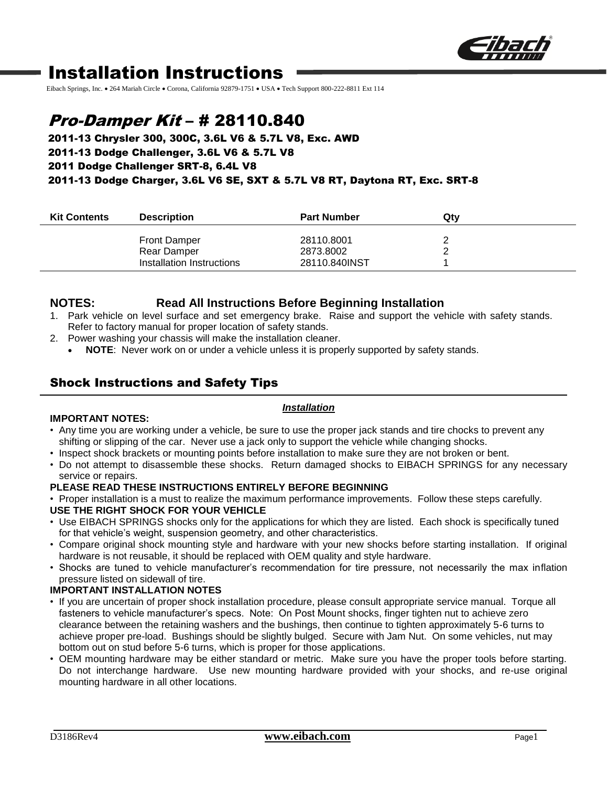

# Installation Instructions

Eibach Springs, Inc. . 264 Mariah Circle · Corona, California 92879-1751 · USA · Tech Support 800-222-8811 Ext 114

# Pro-Damper Kit – # 28110.840

## 2011-13 Chrysler 300, 300C, 3.6L V6 & 5.7L V8, Exc. AWD 2011-13 Dodge Challenger, 3.6L V6 & 5.7L V8 2011 Dodge Challenger SRT-8, 6.4L V8 2011-13 Dodge Charger, 3.6L V6 SE, SXT & 5.7L V8 RT, Daytona RT, Exc. SRT-8

| <b>Kit Contents</b> | <b>Description</b>        | <b>Part Number</b> | Qty |
|---------------------|---------------------------|--------------------|-----|
|                     | <b>Front Damper</b>       | 28110.8001         |     |
|                     | Rear Damper               | 2873.8002          |     |
|                     | Installation Instructions | 28110.840INST      |     |

## **NOTES: Read All Instructions Before Beginning Installation**

- 1. Park vehicle on level surface and set emergency brake. Raise and support the vehicle with safety stands. Refer to factory manual for proper location of safety stands.
- 2. Power washing your chassis will make the installation cleaner.
	- **NOTE**: Never work on or under a vehicle unless it is properly supported by safety stands.

## Shock Instructions and Safety Tips

### *Installation*

### **IMPORTANT NOTES:**

- Any time you are working under a vehicle, be sure to use the proper jack stands and tire chocks to prevent any shifting or slipping of the car. Never use a jack only to support the vehicle while changing shocks.
- Inspect shock brackets or mounting points before installation to make sure they are not broken or bent.
- Do not attempt to disassemble these shocks. Return damaged shocks to EIBACH SPRINGS for any necessary service or repairs.

#### **PLEASE READ THESE INSTRUCTIONS ENTIRELY BEFORE BEGINNING**

- Proper installation is a must to realize the maximum performance improvements. Follow these steps carefully. **USE THE RIGHT SHOCK FOR YOUR VEHICLE**
- Use EIBACH SPRINGS shocks only for the applications for which they are listed. Each shock is specifically tuned for that vehicle's weight, suspension geometry, and other characteristics.
- Compare original shock mounting style and hardware with your new shocks before starting installation. If original hardware is not reusable, it should be replaced with OEM quality and style hardware.
- Shocks are tuned to vehicle manufacturer's recommendation for tire pressure, not necessarily the max inflation pressure listed on sidewall of tire.

### **IMPORTANT INSTALLATION NOTES**

- If you are uncertain of proper shock installation procedure, please consult appropriate service manual. Torque all fasteners to vehicle manufacturer's specs. Note: On Post Mount shocks, finger tighten nut to achieve zero clearance between the retaining washers and the bushings, then continue to tighten approximately 5-6 turns to achieve proper pre-load. Bushings should be slightly bulged. Secure with Jam Nut. On some vehicles, nut may bottom out on stud before 5-6 turns, which is proper for those applications.
- OEM mounting hardware may be either standard or metric. Make sure you have the proper tools before starting. Do not interchange hardware. Use new mounting hardware provided with your shocks, and re-use original mounting hardware in all other locations.